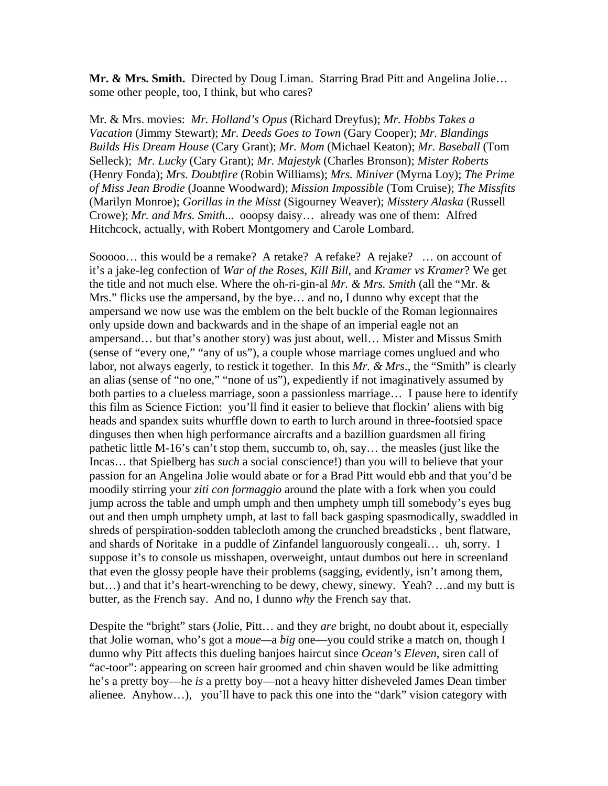**Mr. & Mrs. Smith.** Directed by Doug Liman. Starring Brad Pitt and Angelina Jolie… some other people, too, I think, but who cares?

Mr. & Mrs. movies: *Mr. Holland's Opus* (Richard Dreyfus); *Mr. Hobbs Takes a Vacation* (Jimmy Stewart); *Mr. Deeds Goes to Town* (Gary Cooper); *Mr. Blandings Builds His Dream House* (Cary Grant); *Mr. Mom* (Michael Keaton); *Mr. Baseball* (Tom Selleck); *Mr. Lucky* (Cary Grant); *Mr. Majestyk* (Charles Bronson); *Mister Roberts* (Henry Fonda); *Mrs. Doubtfire* (Robin Williams); *Mrs. Miniver* (Myrna Loy); *The Prime of Miss Jean Brodie* (Joanne Woodward); *Mission Impossible* (Tom Cruise); *The Missfits* (Marilyn Monroe); *Gorillas in the Misst* (Sigourney Weaver); *Misstery Alaska* (Russell Crowe); *Mr. and Mrs. Smith*... ooopsy daisy… already was one of them: Alfred Hitchcock, actually, with Robert Montgomery and Carole Lombard.

Sooooo… this would be a remake? A retake? A refake? A rejake? … on account of it's a jake-leg confection of *War of the Roses*, *Kill Bill*, and *Kramer vs Kramer*? We get the title and not much else. Where the oh-ri-gin-al *Mr. & Mrs. Smith* (all the "Mr. & Mrs." flicks use the ampersand, by the bye… and no, I dunno why except that the ampersand we now use was the emblem on the belt buckle of the Roman legionnaires only upside down and backwards and in the shape of an imperial eagle not an ampersand… but that's another story) was just about, well… Mister and Missus Smith (sense of "every one," "any of us"), a couple whose marriage comes unglued and who labor, not always eagerly, to restick it together. In this *Mr. & Mrs.*, the "Smith" is clearly an alias (sense of "no one," "none of us"), expediently if not imaginatively assumed by both parties to a clueless marriage, soon a passionless marriage… I pause here to identify this film as Science Fiction: you'll find it easier to believe that flockin' aliens with big heads and spandex suits whurffle down to earth to lurch around in three-footsied space dinguses then when high performance aircrafts and a bazillion guardsmen all firing pathetic little M-16's can't stop them, succumb to, oh, say… the measles (just like the Incas… that Spielberg has *such* a social conscience!) than you will to believe that your passion for an Angelina Jolie would abate or for a Brad Pitt would ebb and that you'd be moodily stirring your *ziti con formaggio* around the plate with a fork when you could jump across the table and umph umph and then umphety umph till somebody's eyes bug out and then umph umphety umph, at last to fall back gasping spasmodically, swaddled in shreds of perspiration-sodden tablecloth among the crunched breadsticks , bent flatware, and shards of Noritake in a puddle of Zinfandel languorously congeali… uh, sorry. I suppose it's to console us misshapen, overweight, untaut dumbos out here in screenland that even the glossy people have their problems (sagging, evidently, isn't among them, but…) and that it's heart-wrenching to be dewy, chewy, sinewy. Yeah? …and my butt is butter, as the French say. And no, I dunno *why* the French say that.

Despite the "bright" stars (Jolie, Pitt… and they *are* bright, no doubt about it, especially that Jolie woman, who's got a *moue—*a *big* one—you could strike a match on, though I dunno why Pitt affects this dueling banjoes haircut since *Ocean's Eleven*, siren call of "ac-toor": appearing on screen hair groomed and chin shaven would be like admitting he's a pretty boy—he *is* a pretty boy—not a heavy hitter disheveled James Dean timber alienee. Anyhow…), you'll have to pack this one into the "dark" vision category with